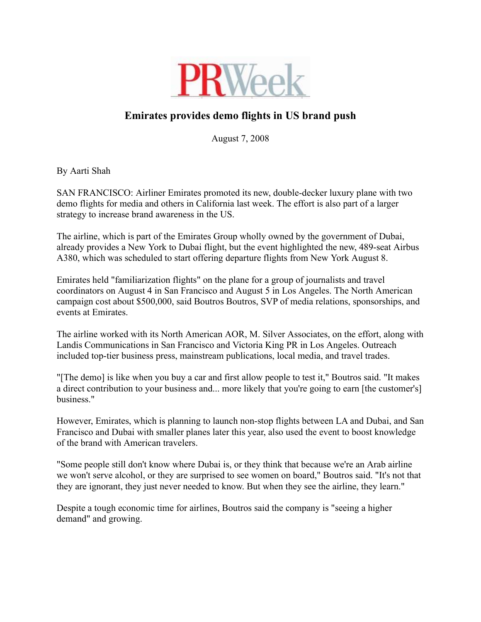

## Emirates provides demo flights in US brand push

August 7, 2008

By Aarti Shah

SAN FRANCISCO: Airliner Emirates promoted its new, double-decker luxury plane with two demo flights for media and others in California last week. The effort is also part of a larger strategy to increase brand awareness in the US.

The airline, which is part of the Emirates Group wholly owned by the government of Dubai, already provides a New York to Dubai flight, but the event highlighted the new, 489-seat Airbus A380, which was scheduled to start offering departure flights from New York August 8.

Emirates held "familiarization flights" on the plane for a group of journalists and travel coordinators on August 4 in San Francisco and August 5 in Los Angeles. The North American campaign cost about \$500,000, said Boutros Boutros, SVP of media relations, sponsorships, and events at Emirates.

The airline worked with its North American AOR, M. Silver Associates, on the effort, along with Landis Communications in San Francisco and Victoria King PR in Los Angeles. Outreach included top-tier business press, mainstream publications, local media, and travel trades.

"[The demo] is like when you buy a car and first allow people to test it," Boutros said. "It makes a direct contribution to your business and... more likely that you're going to earn [the customer's] business."

However, Emirates, which is planning to launch non-stop flights between LA and Dubai, and San Francisco and Dubai with smaller planes later this year, also used the event to boost knowledge of the brand with American travelers.

"Some people still don't know where Dubai is, or they think that because we're an Arab airline we won't serve alcohol, or they are surprised to see women on board," Boutros said. "It's not that they are ignorant, they just never needed to know. But when they see the airline, they learn."

Despite a tough economic time for airlines, Boutros said the company is "seeing a higher demand" and growing.